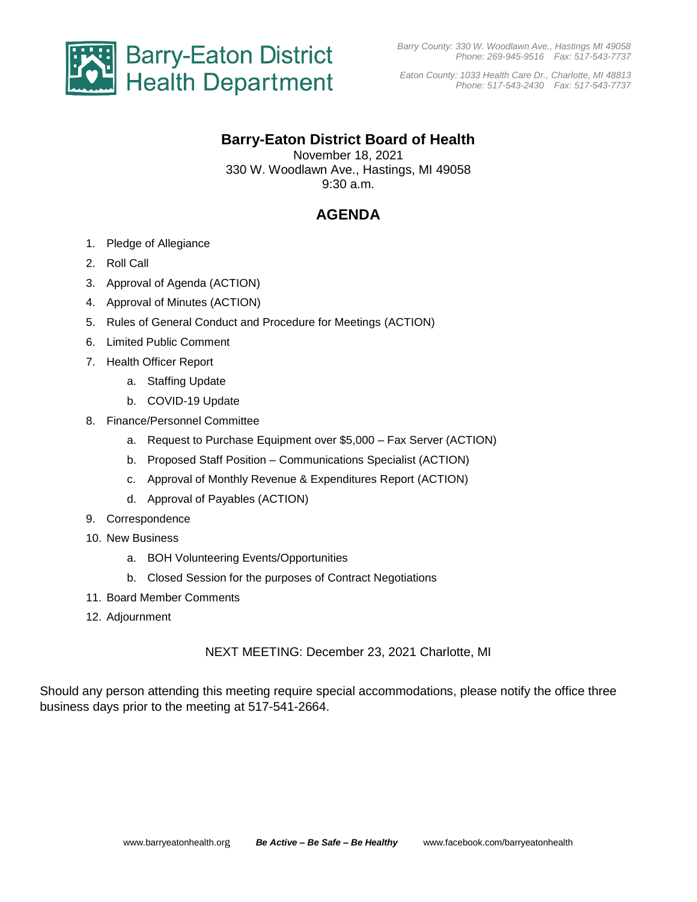

*Eaton County: 1033 Health Care Dr., Charlotte, MI 48813 Phone: 517-543-2430 Fax: 517-543-7737*

## **Barry-Eaton District Board of Health**

November 18, 2021 330 W. Woodlawn Ave., Hastings, MI 49058 9:30 a.m.

# **AGENDA**

- 1. Pledge of Allegiance
- 2. Roll Call
- 3. Approval of Agenda (ACTION)
- 4. Approval of Minutes (ACTION)
- 5. Rules of General Conduct and Procedure for Meetings (ACTION)
- 6. Limited Public Comment
- 7. Health Officer Report
	- a. Staffing Update
	- b. COVID-19 Update
- 8. Finance/Personnel Committee
	- a. Request to Purchase Equipment over \$5,000 Fax Server (ACTION)
	- b. Proposed Staff Position Communications Specialist (ACTION)
	- c. Approval of Monthly Revenue & Expenditures Report (ACTION)
	- d. Approval of Payables (ACTION)
- 9. Correspondence
- 10. New Business
	- a. BOH Volunteering Events/Opportunities
	- b. Closed Session for the purposes of Contract Negotiations
- 11. Board Member Comments
- 12. Adjournment

NEXT MEETING: December 23, 2021 Charlotte, MI

Should any person attending this meeting require special accommodations, please notify the office three business days prior to the meeting at 517-541-2664.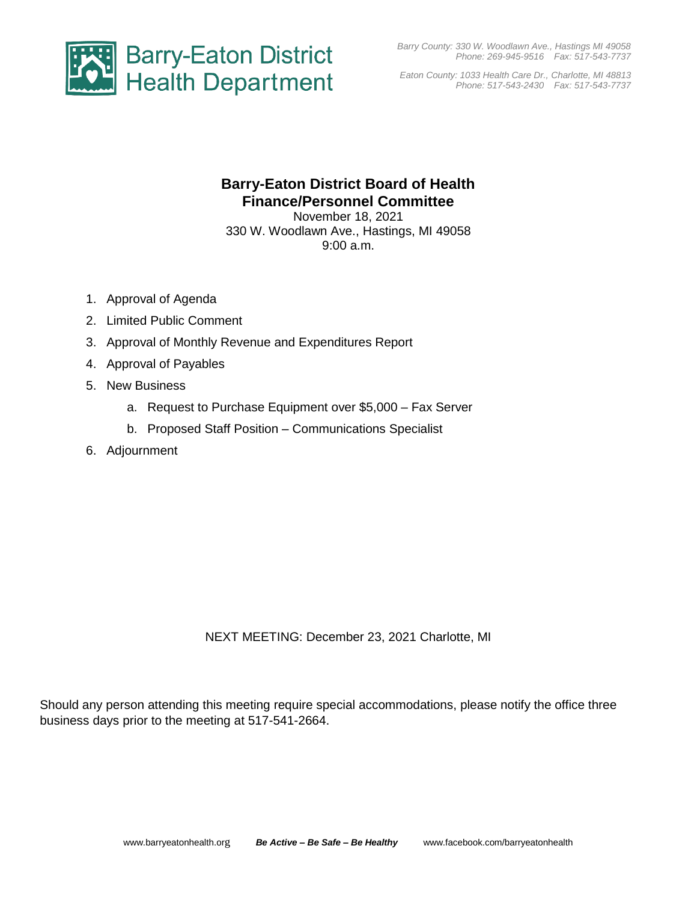*Barry County: 330 W. Woodlawn Ave., Hastings MI 49058 Phone: 269-945-9516 Fax: 517-543-7737*



*Eaton County: 1033 Health Care Dr., Charlotte, MI 48813 Phone: 517-543-2430 Fax: 517-543-7737*

# **Barry-Eaton District Board of Health Finance/Personnel Committee**

November 18, 2021 330 W. Woodlawn Ave., Hastings, MI 49058 9:00 a.m.

- 1. Approval of Agenda
- 2. Limited Public Comment
- 3. Approval of Monthly Revenue and Expenditures Report
- 4. Approval of Payables
- 5. New Business
	- a. Request to Purchase Equipment over \$5,000 Fax Server
	- b. Proposed Staff Position Communications Specialist
- 6. Adjournment

NEXT MEETING: December 23, 2021 Charlotte, MI

Should any person attending this meeting require special accommodations, please notify the office three business days prior to the meeting at 517-541-2664.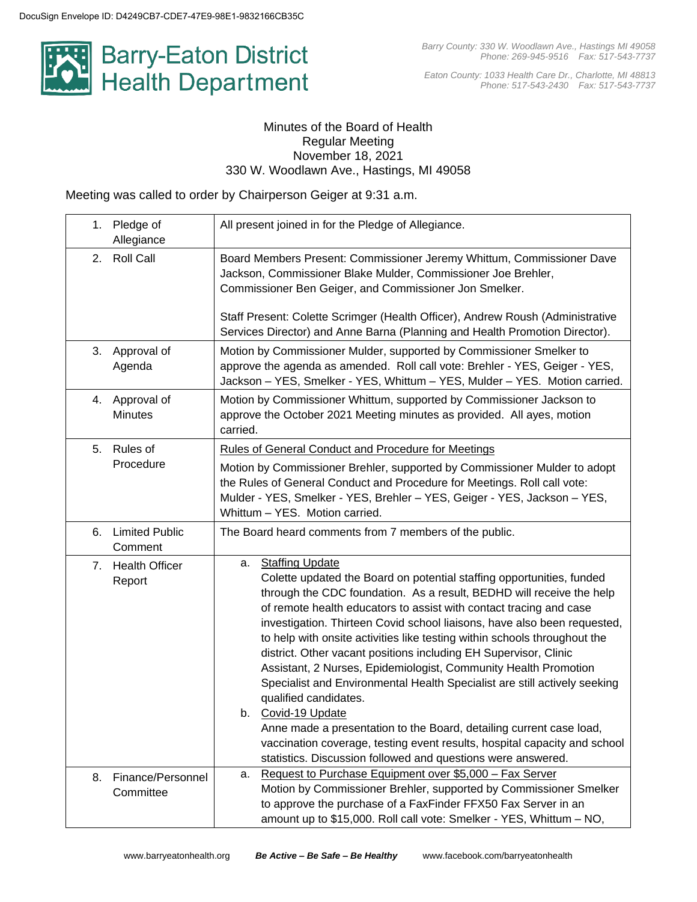

*Eaton County: 1033 Health Care Dr., Charlotte, MI 48813 Phone: 517-543-2430 Fax: 517-543-7737*

#### Minutes of the Board of Health Regular Meeting November 18, 2021 330 W. Woodlawn Ave., Hastings, MI 49058

Meeting was called to order by Chairperson Geiger at 9:31 a.m.

| Pledge of<br>1.<br>Allegiance          | All present joined in for the Pledge of Allegiance.                                                                                                                                                                                                                                                                                                                                                                                                                                                                                                                                                                                                                                                                                                                                                                                                                                                 |  |  |
|----------------------------------------|-----------------------------------------------------------------------------------------------------------------------------------------------------------------------------------------------------------------------------------------------------------------------------------------------------------------------------------------------------------------------------------------------------------------------------------------------------------------------------------------------------------------------------------------------------------------------------------------------------------------------------------------------------------------------------------------------------------------------------------------------------------------------------------------------------------------------------------------------------------------------------------------------------|--|--|
| <b>Roll Call</b><br>2.                 | Board Members Present: Commissioner Jeremy Whittum, Commissioner Dave<br>Jackson, Commissioner Blake Mulder, Commissioner Joe Brehler,<br>Commissioner Ben Geiger, and Commissioner Jon Smelker.<br>Staff Present: Colette Scrimger (Health Officer), Andrew Roush (Administrative<br>Services Director) and Anne Barna (Planning and Health Promotion Director).                                                                                                                                                                                                                                                                                                                                                                                                                                                                                                                                   |  |  |
| Approval of<br>3.<br>Agenda            | Motion by Commissioner Mulder, supported by Commissioner Smelker to<br>approve the agenda as amended. Roll call vote: Brehler - YES, Geiger - YES,<br>Jackson - YES, Smelker - YES, Whittum - YES, Mulder - YES. Motion carried.                                                                                                                                                                                                                                                                                                                                                                                                                                                                                                                                                                                                                                                                    |  |  |
| Approval of<br>4.<br><b>Minutes</b>    | Motion by Commissioner Whittum, supported by Commissioner Jackson to<br>approve the October 2021 Meeting minutes as provided. All ayes, motion<br>carried.                                                                                                                                                                                                                                                                                                                                                                                                                                                                                                                                                                                                                                                                                                                                          |  |  |
| Rules of<br>5.<br>Procedure            | <b>Rules of General Conduct and Procedure for Meetings</b><br>Motion by Commissioner Brehler, supported by Commissioner Mulder to adopt<br>the Rules of General Conduct and Procedure for Meetings. Roll call vote:<br>Mulder - YES, Smelker - YES, Brehler - YES, Geiger - YES, Jackson - YES,<br>Whittum - YES. Motion carried.                                                                                                                                                                                                                                                                                                                                                                                                                                                                                                                                                                   |  |  |
| <b>Limited Public</b><br>6.<br>Comment | The Board heard comments from 7 members of the public.                                                                                                                                                                                                                                                                                                                                                                                                                                                                                                                                                                                                                                                                                                                                                                                                                                              |  |  |
| <b>Health Officer</b><br>7.<br>Report  | <b>Staffing Update</b><br>а.<br>Colette updated the Board on potential staffing opportunities, funded<br>through the CDC foundation. As a result, BEDHD will receive the help<br>of remote health educators to assist with contact tracing and case<br>investigation. Thirteen Covid school liaisons, have also been requested,<br>to help with onsite activities like testing within schools throughout the<br>district. Other vacant positions including EH Supervisor, Clinic<br>Assistant, 2 Nurses, Epidemiologist, Community Health Promotion<br>Specialist and Environmental Health Specialist are still actively seeking<br>qualified candidates.<br>b. Covid-19 Update<br>Anne made a presentation to the Board, detailing current case load,<br>vaccination coverage, testing event results, hospital capacity and school<br>statistics. Discussion followed and questions were answered. |  |  |
| Finance/Personnel<br>8.<br>Committee   | Request to Purchase Equipment over \$5,000 - Fax Server<br>а.<br>Motion by Commissioner Brehler, supported by Commissioner Smelker<br>to approve the purchase of a FaxFinder FFX50 Fax Server in an<br>amount up to \$15,000. Roll call vote: Smelker - YES, Whittum - NO,                                                                                                                                                                                                                                                                                                                                                                                                                                                                                                                                                                                                                          |  |  |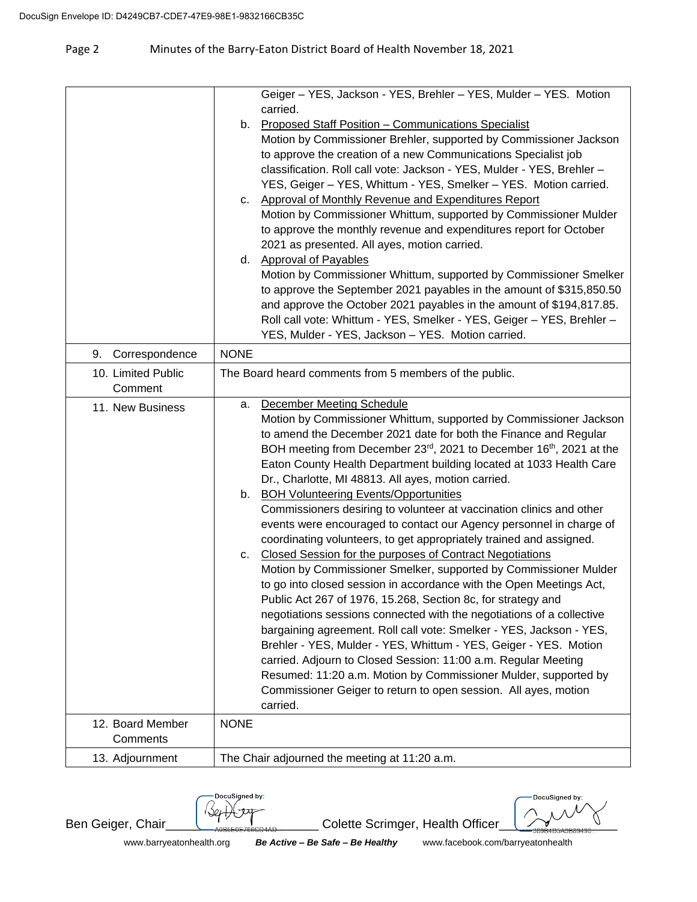#### Page 2 Minutes of the Barry-Eaton District Board of Health November 18, 2021

|                               |             | Geiger - YES, Jackson - YES, Brehler - YES, Mulder - YES. Motion                                                                              |
|-------------------------------|-------------|-----------------------------------------------------------------------------------------------------------------------------------------------|
|                               |             | carried.                                                                                                                                      |
|                               | b.          | <b>Proposed Staff Position - Communications Specialist</b>                                                                                    |
|                               |             | Motion by Commissioner Brehler, supported by Commissioner Jackson                                                                             |
|                               |             | to approve the creation of a new Communications Specialist job                                                                                |
|                               |             | classification. Roll call vote: Jackson - YES, Mulder - YES, Brehler -                                                                        |
|                               |             | YES, Geiger - YES, Whittum - YES, Smelker - YES. Motion carried.                                                                              |
|                               |             | c. Approval of Monthly Revenue and Expenditures Report                                                                                        |
|                               |             | Motion by Commissioner Whittum, supported by Commissioner Mulder                                                                              |
|                               |             | to approve the monthly revenue and expenditures report for October                                                                            |
|                               |             | 2021 as presented. All ayes, motion carried.                                                                                                  |
|                               |             | d. Approval of Payables                                                                                                                       |
|                               |             | Motion by Commissioner Whittum, supported by Commissioner Smelker                                                                             |
|                               |             | to approve the September 2021 payables in the amount of \$315,850.50                                                                          |
|                               |             | and approve the October 2021 payables in the amount of \$194,817.85.<br>Roll call vote: Whittum - YES, Smelker - YES, Geiger - YES, Brehler - |
|                               |             | YES, Mulder - YES, Jackson - YES. Motion carried.                                                                                             |
| Correspondence<br>9.          | <b>NONE</b> |                                                                                                                                               |
|                               |             |                                                                                                                                               |
| 10. Limited Public<br>Comment |             | The Board heard comments from 5 members of the public.                                                                                        |
|                               |             | December Meeting Schedule                                                                                                                     |
| 11. New Business              | а.          | Motion by Commissioner Whittum, supported by Commissioner Jackson                                                                             |
|                               |             | to amend the December 2021 date for both the Finance and Regular                                                                              |
|                               |             | BOH meeting from December 23 <sup>rd</sup> , 2021 to December 16 <sup>th</sup> , 2021 at the                                                  |
|                               |             | Eaton County Health Department building located at 1033 Health Care                                                                           |
|                               |             | Dr., Charlotte, MI 48813. All ayes, motion carried.                                                                                           |
|                               |             | b. BOH Volunteering Events/Opportunities                                                                                                      |
|                               |             | Commissioners desiring to volunteer at vaccination clinics and other                                                                          |
|                               |             | events were encouraged to contact our Agency personnel in charge of                                                                           |
|                               |             | coordinating volunteers, to get appropriately trained and assigned.                                                                           |
|                               | C.          | Closed Session for the purposes of Contract Negotiations                                                                                      |
|                               |             | Motion by Commissioner Smelker, supported by Commissioner Mulder                                                                              |
|                               |             | to go into closed session in accordance with the Open Meetings Act,                                                                           |
|                               |             | Public Act 267 of 1976, 15.268, Section 8c, for strategy and                                                                                  |
|                               |             | negotiations sessions connected with the negotiations of a collective                                                                         |
|                               |             | bargaining agreement. Roll call vote: Smelker - YES, Jackson - YES,                                                                           |
|                               |             | Brehler - YES, Mulder - YES, Whittum - YES, Geiger - YES. Motion                                                                              |
|                               |             | carried. Adjourn to Closed Session: 11:00 a.m. Regular Meeting                                                                                |
|                               |             | Resumed: 11:20 a.m. Motion by Commissioner Mulder, supported by                                                                               |
|                               |             | Commissioner Geiger to return to open session. All ayes, motion                                                                               |
|                               |             | carried.                                                                                                                                      |
| 12. Board Member              | <b>NONE</b> |                                                                                                                                               |
| Comments                      |             |                                                                                                                                               |
| 13. Adjournment               |             | The Chair adjourned the meeting at 11:20 a.m.                                                                                                 |

DocuSigned by: l Ser

 $Ben Geiger, Chair$  Chair  $\frac{1}{2}$   $\frac{1}{2}$   $\frac{1}{2}$  Colette Scrimger, Health Officer

DocuSigned by:

www.barryeatonhealth.org *Be Active – Be Safe – Be Healthy*www.facebook.com/barryeatonhealth